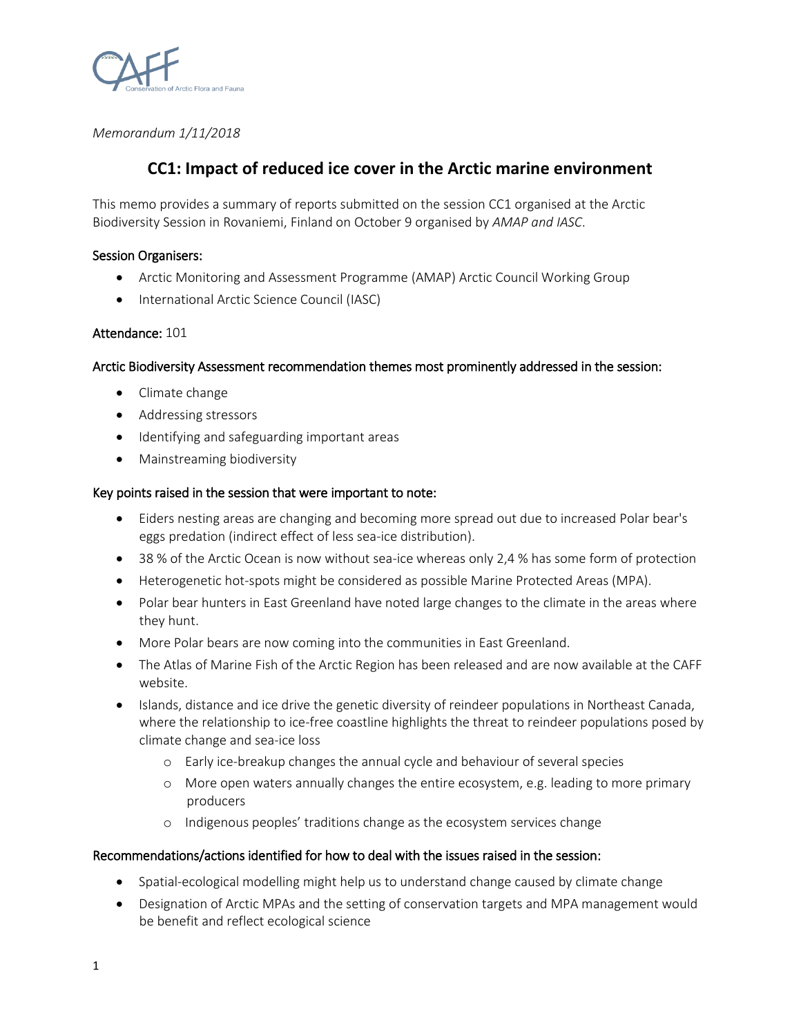

*Memorandum 1/11/2018*

# **CC1: Impact of reduced ice cover in the Arctic marine environment**

This memo provides a summary of reports submitted on the session CC1 organised at the Arctic Biodiversity Session in Rovaniemi, Finland on October 9 organised by *AMAP and IASC*.

## Session Organisers:

- Arctic Monitoring and Assessment Programme (AMAP) Arctic Council Working Group
- International Arctic Science Council (IASC)

## Attendance: 101

## Arctic Biodiversity Assessment recommendation themes most prominently addressed in the session:

- Climate change
- Addressing stressors
- Identifying and safeguarding important areas
- Mainstreaming biodiversity

## Key points raised in the session that were important to note:

- Eiders nesting areas are changing and becoming more spread out due to increased Polar bear's eggs predation (indirect effect of less sea-ice distribution).
- 38 % of the Arctic Ocean is now without sea-ice whereas only 2,4 % has some form of protection
- Heterogenetic hot-spots might be considered as possible Marine Protected Areas (MPA).
- Polar bear hunters in East Greenland have noted large changes to the climate in the areas where they hunt.
- More Polar bears are now coming into the communities in East Greenland.
- The Atlas of Marine Fish of the Arctic Region has been released and are now available at the CAFF website.
- Islands, distance and ice drive the genetic diversity of reindeer populations in Northeast Canada, where the relationship to ice-free coastline highlights the threat to reindeer populations posed by climate change and sea-ice loss
	- o Early ice-breakup changes the annual cycle and behaviour of several species
	- o More open waters annually changes the entire ecosystem, e.g. leading to more primary producers
	- o Indigenous peoples' traditions change as the ecosystem services change

## Recommendations/actions identified for how to deal with the issues raised in the session:

- Spatial-ecological modelling might help us to understand change caused by climate change
- Designation of Arctic MPAs and the setting of conservation targets and MPA management would be benefit and reflect ecological science